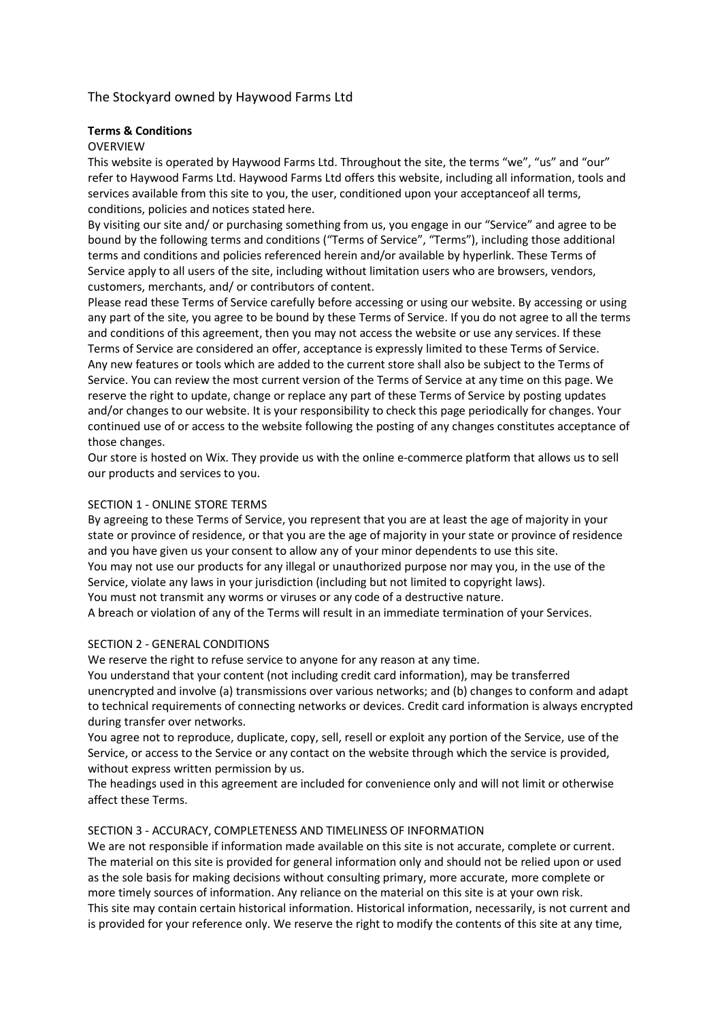# The Stockyard owned by Haywood Farms Ltd

### **Terms & Conditions**

### OVERVIEW

This website is operated by Haywood Farms Ltd. Throughout the site, the terms "we", "us" and "our" refer to Haywood Farms Ltd. Haywood Farms Ltd offers this website, including all information, tools and services available from this site to you, the user, conditioned upon your acceptanceof all terms, conditions, policies and notices stated here.

By visiting our site and/ or purchasing something from us, you engage in our "Service" and agree to be bound by the following terms and conditions ("Terms of Service", "Terms"), including those additional terms and conditions and policies referenced herein and/or available by hyperlink. These Terms of Service apply to all users of the site, including without limitation users who are browsers, vendors, customers, merchants, and/ or contributors of content.

Please read these Terms of Service carefully before accessing or using our website. By accessing or using any part of the site, you agree to be bound by these Terms of Service. If you do not agree to all the terms and conditions of this agreement, then you may not access the website or use any services. If these Terms of Service are considered an offer, acceptance is expressly limited to these Terms of Service. Any new features or tools which are added to the current store shall also be subject to the Terms of Service. You can review the most current version of the Terms of Service at any time on this page. We reserve the right to update, change or replace any part of these Terms of Service by posting updates and/or changes to our website. It is your responsibility to check this page periodically for changes. Your continued use of or access to the website following the posting of any changes constitutes acceptance of those changes.

Our store is hosted on Wix. They provide us with the online e-commerce platform that allows us to sell our products and services to you.

### SECTION 1 - ONLINE STORE TERMS

By agreeing to these Terms of Service, you represent that you are at least the age of majority in your state or province of residence, or that you are the age of majority in your state or province of residence and you have given us your consent to allow any of your minor dependents to use this site. You may not use our products for any illegal or unauthorized purpose nor may you, in the use of the Service, violate any laws in your jurisdiction (including but not limited to copyright laws). You must not transmit any worms or viruses or any code of a destructive nature.

A breach or violation of any of the Terms will result in an immediate termination of your Services.

# SECTION 2 - GENERAL CONDITIONS

We reserve the right to refuse service to anyone for any reason at any time.

You understand that your content (not including credit card information), may be transferred unencrypted and involve (a) transmissions over various networks; and (b) changes to conform and adapt to technical requirements of connecting networks or devices. Credit card information is always encrypted during transfer over networks.

You agree not to reproduce, duplicate, copy, sell, resell or exploit any portion of the Service, use of the Service, or access to the Service or any contact on the website through which the service is provided, without express written permission by us.

The headings used in this agreement are included for convenience only and will not limit or otherwise affect these Terms.

# SECTION 3 - ACCURACY, COMPLETENESS AND TIMELINESS OF INFORMATION

We are not responsible if information made available on this site is not accurate, complete or current. The material on this site is provided for general information only and should not be relied upon or used as the sole basis for making decisions without consulting primary, more accurate, more complete or more timely sources of information. Any reliance on the material on this site is at your own risk. This site may contain certain historical information. Historical information, necessarily, is not current and is provided for your reference only. We reserve the right to modify the contents of this site at any time,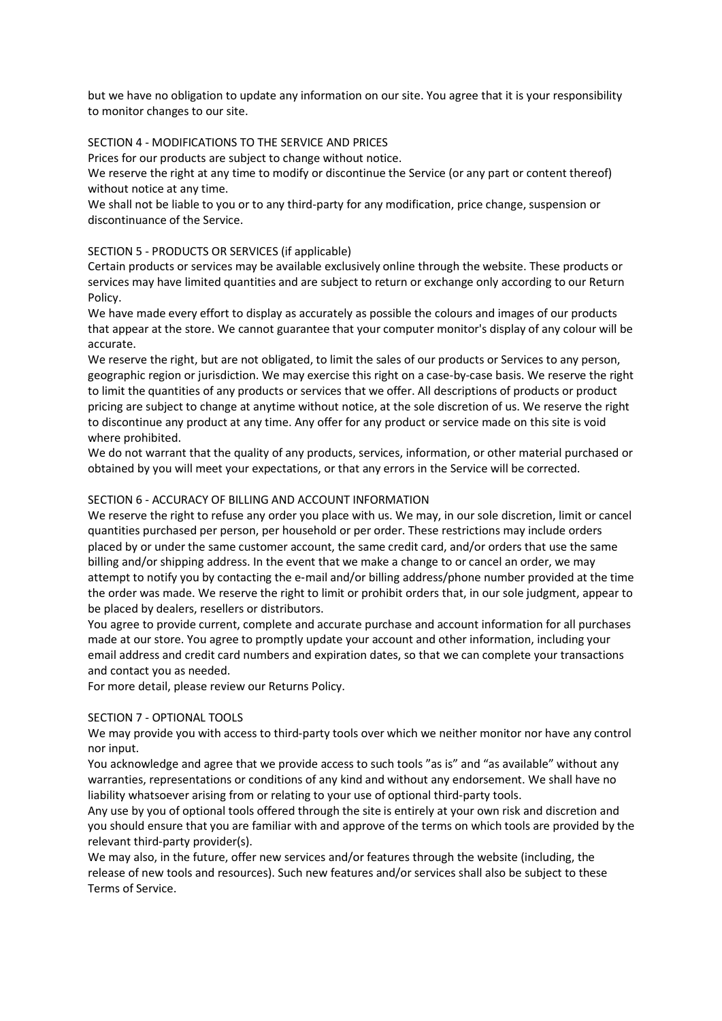but we have no obligation to update any information on our site. You agree that it is your responsibility to monitor changes to our site.

### SECTION 4 - MODIFICATIONS TO THE SERVICE AND PRICES

Prices for our products are subject to change without notice.

We reserve the right at any time to modify or discontinue the Service (or any part or content thereof) without notice at any time.

We shall not be liable to you or to any third-party for any modification, price change, suspension or discontinuance of the Service.

#### SECTION 5 - PRODUCTS OR SERVICES (if applicable)

Certain products or services may be available exclusively online through the website. These products or services may have limited quantities and are subject to return or exchange only according to our Return Policy.

We have made every effort to display as accurately as possible the colours and images of our products that appear at the store. We cannot guarantee that your computer monitor's display of any colour will be accurate.

We reserve the right, but are not obligated, to limit the sales of our products or Services to any person, geographic region or jurisdiction. We may exercise this right on a case-by-case basis. We reserve the right to limit the quantities of any products or services that we offer. All descriptions of products or product pricing are subject to change at anytime without notice, at the sole discretion of us. We reserve the right to discontinue any product at any time. Any offer for any product or service made on this site is void where prohibited.

We do not warrant that the quality of any products, services, information, or other material purchased or obtained by you will meet your expectations, or that any errors in the Service will be corrected.

### SECTION 6 - ACCURACY OF BILLING AND ACCOUNT INFORMATION

We reserve the right to refuse any order you place with us. We may, in our sole discretion, limit or cancel quantities purchased per person, per household or per order. These restrictions may include orders placed by or under the same customer account, the same credit card, and/or orders that use the same billing and/or shipping address. In the event that we make a change to or cancel an order, we may attempt to notify you by contacting the e-mail and/or billing address/phone number provided at the time the order was made. We reserve the right to limit or prohibit orders that, in our sole judgment, appear to be placed by dealers, resellers or distributors.

You agree to provide current, complete and accurate purchase and account information for all purchases made at our store. You agree to promptly update your account and other information, including your email address and credit card numbers and expiration dates, so that we can complete your transactions and contact you as needed.

For more detail, please review our Returns Policy.

#### SECTION 7 - OPTIONAL TOOLS

We may provide you with access to third-party tools over which we neither monitor nor have any control nor input.

You acknowledge and agree that we provide access to such tools "as is" and "as available" without any warranties, representations or conditions of any kind and without any endorsement. We shall have no liability whatsoever arising from or relating to your use of optional third-party tools.

Any use by you of optional tools offered through the site is entirely at your own risk and discretion and you should ensure that you are familiar with and approve of the terms on which tools are provided by the relevant third-party provider(s).

We may also, in the future, offer new services and/or features through the website (including, the release of new tools and resources). Such new features and/or services shall also be subject to these Terms of Service.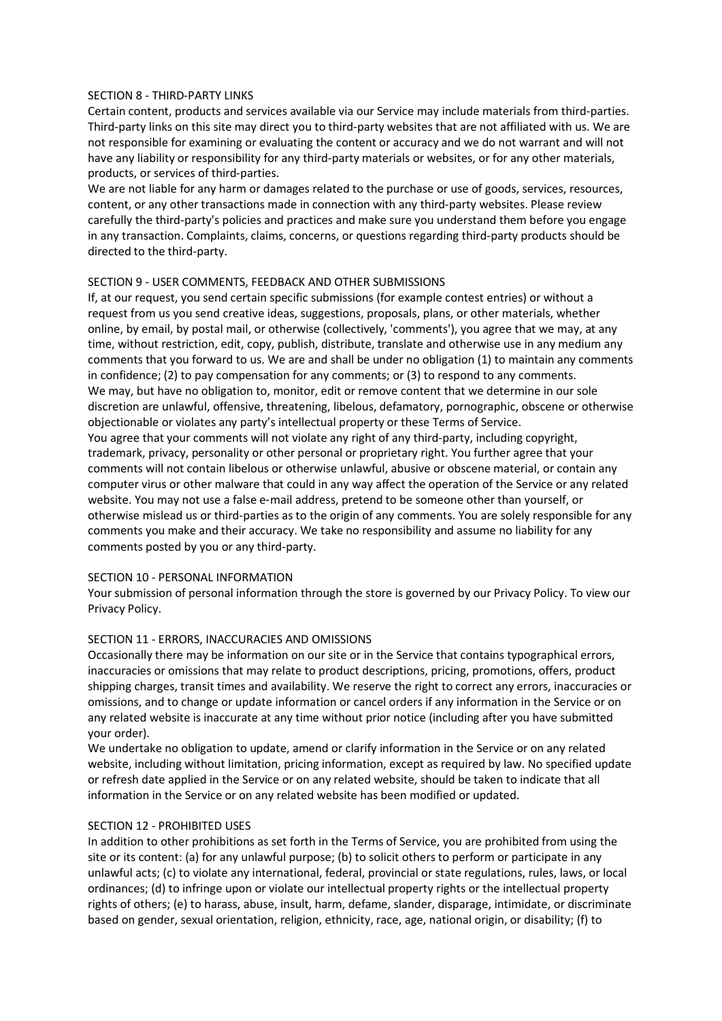#### SECTION 8 - THIRD-PARTY LINKS

Certain content, products and services available via our Service may include materials from third-parties. Third-party links on this site may direct you to third-party websites that are not affiliated with us. We are not responsible for examining or evaluating the content or accuracy and we do not warrant and will not have any liability or responsibility for any third-party materials or websites, or for any other materials, products, or services of third-parties.

We are not liable for any harm or damages related to the purchase or use of goods, services, resources, content, or any other transactions made in connection with any third-party websites. Please review carefully the third-party's policies and practices and make sure you understand them before you engage in any transaction. Complaints, claims, concerns, or questions regarding third-party products should be directed to the third-party.

#### SECTION 9 - USER COMMENTS, FEEDBACK AND OTHER SUBMISSIONS

If, at our request, you send certain specific submissions (for example contest entries) or without a request from us you send creative ideas, suggestions, proposals, plans, or other materials, whether online, by email, by postal mail, or otherwise (collectively, 'comments'), you agree that we may, at any time, without restriction, edit, copy, publish, distribute, translate and otherwise use in any medium any comments that you forward to us. We are and shall be under no obligation (1) to maintain any comments in confidence; (2) to pay compensation for any comments; or (3) to respond to any comments. We may, but have no obligation to, monitor, edit or remove content that we determine in our sole discretion are unlawful, offensive, threatening, libelous, defamatory, pornographic, obscene or otherwise objectionable or violates any party's intellectual property or these Terms of Service. You agree that your comments will not violate any right of any third-party, including copyright, trademark, privacy, personality or other personal or proprietary right. You further agree that your comments will not contain libelous or otherwise unlawful, abusive or obscene material, or contain any computer virus or other malware that could in any way affect the operation of the Service or any related website. You may not use a false e-mail address, pretend to be someone other than yourself, or otherwise mislead us or third-parties as to the origin of any comments. You are solely responsible for any comments you make and their accuracy. We take no responsibility and assume no liability for any comments posted by you or any third-party.

#### SECTION 10 - PERSONAL INFORMATION

Your submission of personal information through the store is governed by our Privacy Policy. To view our Privacy Policy.

#### SECTION 11 - ERRORS, INACCURACIES AND OMISSIONS

Occasionally there may be information on our site or in the Service that contains typographical errors, inaccuracies or omissions that may relate to product descriptions, pricing, promotions, offers, product shipping charges, transit times and availability. We reserve the right to correct any errors, inaccuracies or omissions, and to change or update information or cancel orders if any information in the Service or on any related website is inaccurate at any time without prior notice (including after you have submitted your order).

We undertake no obligation to update, amend or clarify information in the Service or on any related website, including without limitation, pricing information, except as required by law. No specified update or refresh date applied in the Service or on any related website, should be taken to indicate that all information in the Service or on any related website has been modified or updated.

#### SECTION 12 - PROHIBITED USES

In addition to other prohibitions as set forth in the Terms of Service, you are prohibited from using the site or its content: (a) for any unlawful purpose; (b) to solicit others to perform or participate in any unlawful acts; (c) to violate any international, federal, provincial or state regulations, rules, laws, or local ordinances; (d) to infringe upon or violate our intellectual property rights or the intellectual property rights of others; (e) to harass, abuse, insult, harm, defame, slander, disparage, intimidate, or discriminate based on gender, sexual orientation, religion, ethnicity, race, age, national origin, or disability; (f) to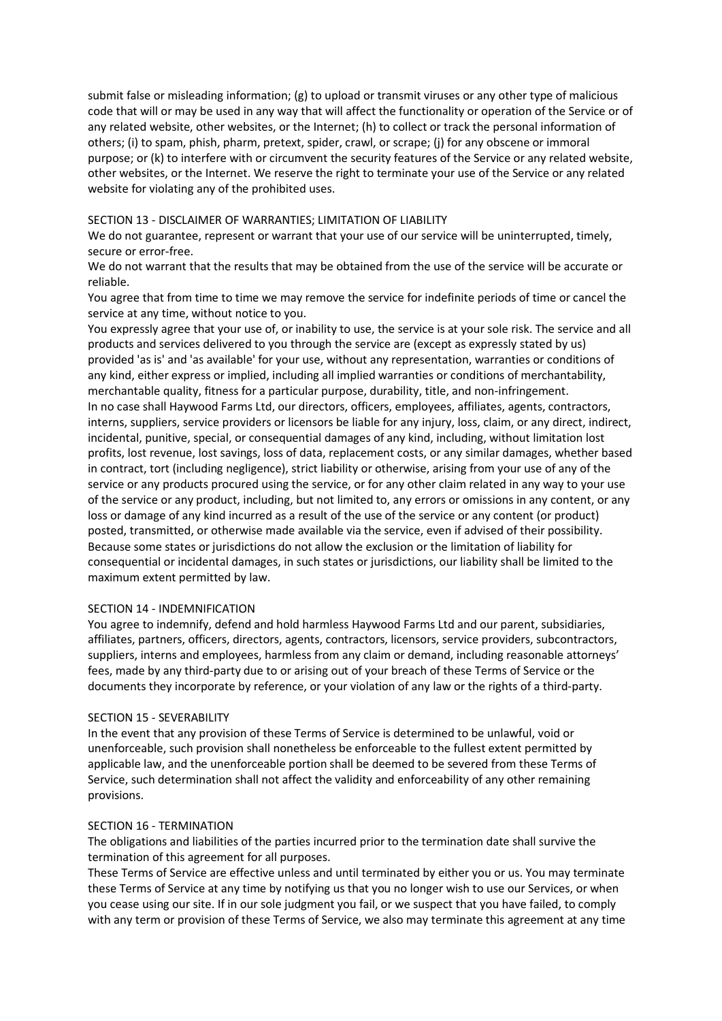submit false or misleading information; (g) to upload or transmit viruses or any other type of malicious code that will or may be used in any way that will affect the functionality or operation of the Service or of any related website, other websites, or the Internet; (h) to collect or track the personal information of others; (i) to spam, phish, pharm, pretext, spider, crawl, or scrape; (j) for any obscene or immoral purpose; or (k) to interfere with or circumvent the security features of the Service or any related website, other websites, or the Internet. We reserve the right to terminate your use of the Service or any related website for violating any of the prohibited uses.

#### SECTION 13 - DISCLAIMER OF WARRANTIES; LIMITATION OF LIABILITY

We do not guarantee, represent or warrant that your use of our service will be uninterrupted, timely, secure or error-free.

We do not warrant that the results that may be obtained from the use of the service will be accurate or reliable.

You agree that from time to time we may remove the service for indefinite periods of time or cancel the service at any time, without notice to you.

You expressly agree that your use of, or inability to use, the service is at your sole risk. The service and all products and services delivered to you through the service are (except as expressly stated by us) provided 'as is' and 'as available' for your use, without any representation, warranties or conditions of any kind, either express or implied, including all implied warranties or conditions of merchantability, merchantable quality, fitness for a particular purpose, durability, title, and non-infringement. In no case shall Haywood Farms Ltd, our directors, officers, employees, affiliates, agents, contractors, interns, suppliers, service providers or licensors be liable for any injury, loss, claim, or any direct, indirect, incidental, punitive, special, or consequential damages of any kind, including, without limitation lost profits, lost revenue, lost savings, loss of data, replacement costs, or any similar damages, whether based in contract, tort (including negligence), strict liability or otherwise, arising from your use of any of the service or any products procured using the service, or for any other claim related in any way to your use of the service or any product, including, but not limited to, any errors or omissions in any content, or any loss or damage of any kind incurred as a result of the use of the service or any content (or product) posted, transmitted, or otherwise made available via the service, even if advised of their possibility. Because some states or jurisdictions do not allow the exclusion or the limitation of liability for consequential or incidental damages, in such states or jurisdictions, our liability shall be limited to the maximum extent permitted by law.

#### SECTION 14 - INDEMNIFICATION

You agree to indemnify, defend and hold harmless Haywood Farms Ltd and our parent, subsidiaries, affiliates, partners, officers, directors, agents, contractors, licensors, service providers, subcontractors, suppliers, interns and employees, harmless from any claim or demand, including reasonable attorneys' fees, made by any third-party due to or arising out of your breach of these Terms of Service or the documents they incorporate by reference, or your violation of any law or the rights of a third-party.

#### SECTION 15 - SEVERABILITY

In the event that any provision of these Terms of Service is determined to be unlawful, void or unenforceable, such provision shall nonetheless be enforceable to the fullest extent permitted by applicable law, and the unenforceable portion shall be deemed to be severed from these Terms of Service, such determination shall not affect the validity and enforceability of any other remaining provisions.

# SECTION 16 - TERMINATION

The obligations and liabilities of the parties incurred prior to the termination date shall survive the termination of this agreement for all purposes.

These Terms of Service are effective unless and until terminated by either you or us. You may terminate these Terms of Service at any time by notifying us that you no longer wish to use our Services, or when you cease using our site. If in our sole judgment you fail, or we suspect that you have failed, to comply with any term or provision of these Terms of Service, we also may terminate this agreement at any time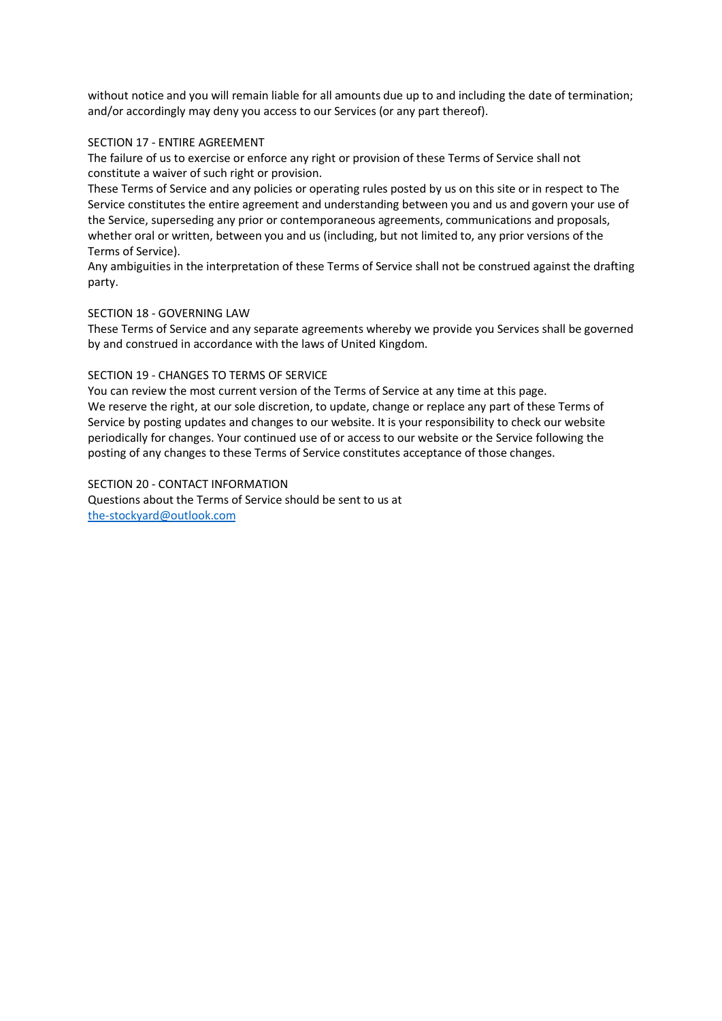without notice and you will remain liable for all amounts due up to and including the date of termination; and/or accordingly may deny you access to our Services (or any part thereof).

#### SECTION 17 - ENTIRE AGREEMENT

The failure of us to exercise or enforce any right or provision of these Terms of Service shall not constitute a waiver of such right or provision.

These Terms of Service and any policies or operating rules posted by us on this site or in respect to The Service constitutes the entire agreement and understanding between you and us and govern your use of the Service, superseding any prior or contemporaneous agreements, communications and proposals, whether oral or written, between you and us (including, but not limited to, any prior versions of the Terms of Service).

Any ambiguities in the interpretation of these Terms of Service shall not be construed against the drafting party.

#### SECTION 18 - GOVERNING LAW

These Terms of Service and any separate agreements whereby we provide you Services shall be governed by and construed in accordance with the laws of United Kingdom.

### SECTION 19 - CHANGES TO TERMS OF SERVICE

You can review the most current version of the Terms of Service at any time at this page. We reserve the right, at our sole discretion, to update, change or replace any part of these Terms of Service by posting updates and changes to our website. It is your responsibility to check our website periodically for changes. Your continued use of or access to our website or the Service following the posting of any changes to these Terms of Service constitutes acceptance of those changes.

# SECTION 20 - CONTACT INFORMATION

Questions about the Terms of Service should be sent to us at the-stockyard@outlook.com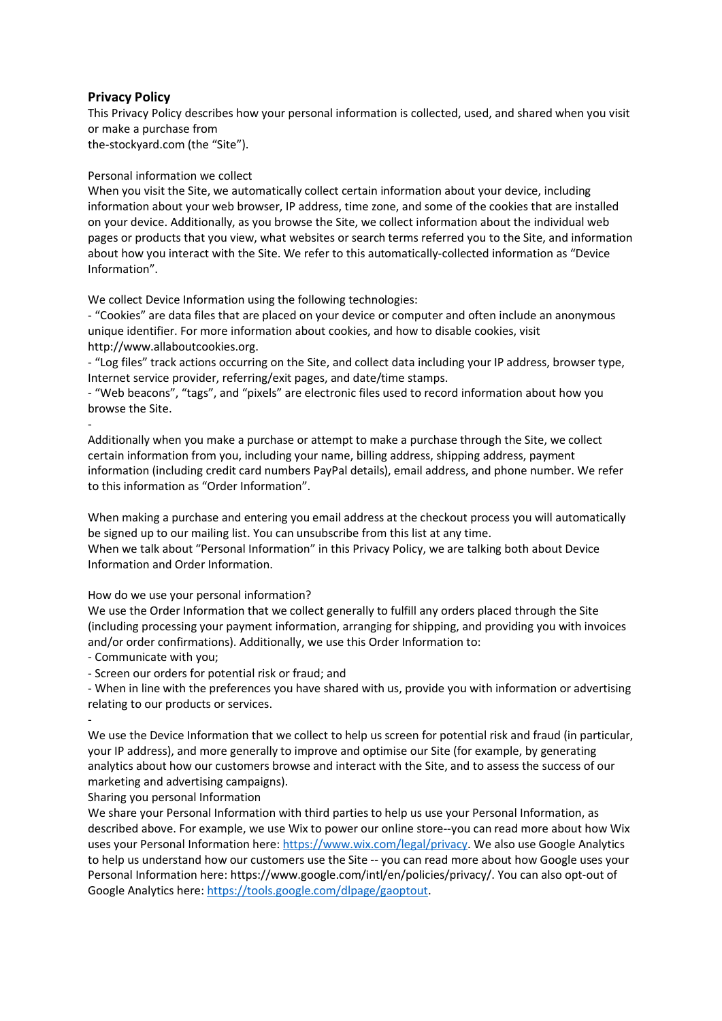# **Privacy Policy**

This Privacy Policy describes how your personal information is collected, used, and shared when you visit or make a purchase from the-stockyard.com (the "Site").

Personal information we collect

When you visit the Site, we automatically collect certain information about your device, including information about your web browser, IP address, time zone, and some of the cookies that are installed on your device. Additionally, as you browse the Site, we collect information about the individual web pages or products that you view, what websites or search terms referred you to the Site, and information about how you interact with the Site. We refer to this automatically-collected information as "Device Information".

We collect Device Information using the following technologies:

- "Cookies" are data files that are placed on your device or computer and often include an anonymous unique identifier. For more information about cookies, and how to disable cookies, visit http://www.allaboutcookies.org.

- "Log files" track actions occurring on the Site, and collect data including your IP address, browser type, Internet service provider, referring/exit pages, and date/time stamps.

- "Web beacons", "tags", and "pixels" are electronic files used to record information about how you browse the Site.

Additionally when you make a purchase or attempt to make a purchase through the Site, we collect certain information from you, including your name, billing address, shipping address, payment information (including credit card numbers PayPal details), email address, and phone number. We refer to this information as "Order Information".

When making a purchase and entering you email address at the checkout process you will automatically be signed up to our mailing list. You can unsubscribe from this list at any time. When we talk about "Personal Information" in this Privacy Policy, we are talking both about Device Information and Order Information.

How do we use your personal information?

We use the Order Information that we collect generally to fulfill any orders placed through the Site (including processing your payment information, arranging for shipping, and providing you with invoices and/or order confirmations). Additionally, we use this Order Information to:

- Communicate with you;

- Screen our orders for potential risk or fraud; and

- When in line with the preferences you have shared with us, provide you with information or advertising relating to our products or services.

-

-

We use the Device Information that we collect to help us screen for potential risk and fraud (in particular, your IP address), and more generally to improve and optimise our Site (for example, by generating analytics about how our customers browse and interact with the Site, and to assess the success of our marketing and advertising campaigns).

Sharing you personal Information

We share your Personal Information with third parties to help us use your Personal Information, as described above. For example, we use Wix to power our online store--you can read more about how Wix uses your Personal Information here: https://www.wix.com/legal/privacy. We also use Google Analytics to help us understand how our customers use the Site -- you can read more about how Google uses your Personal Information here: https://www.google.com/intl/en/policies/privacy/. You can also opt-out of Google Analytics here: https://tools.google.com/dlpage/gaoptout.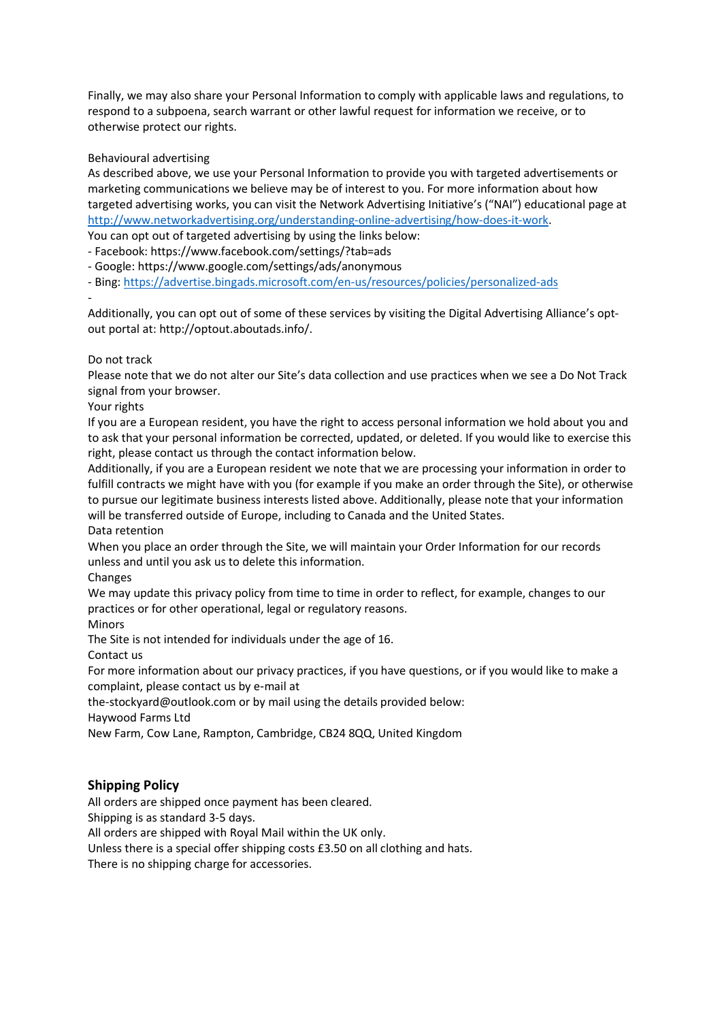Finally, we may also share your Personal Information to comply with applicable laws and regulations, to respond to a subpoena, search warrant or other lawful request for information we receive, or to otherwise protect our rights.

Behavioural advertising

As described above, we use your Personal Information to provide you with targeted advertisements or marketing communications we believe may be of interest to you. For more information about how targeted advertising works, you can visit the Network Advertising Initiative's ("NAI") educational page at http://www.networkadvertising.org/understanding-online-advertising/how-does-it-work.

You can opt out of targeted advertising by using the links below:

- Facebook: https://www.facebook.com/settings/?tab=ads

- Google: https://www.google.com/settings/ads/anonymous

- Bing: https://advertise.bingads.microsoft.com/en-us/resources/policies/personalized-ads

-

Additionally, you can opt out of some of these services by visiting the Digital Advertising Alliance's optout portal at: http://optout.aboutads.info/.

Do not track

Please note that we do not alter our Site's data collection and use practices when we see a Do Not Track signal from your browser.

Your rights

If you are a European resident, you have the right to access personal information we hold about you and to ask that your personal information be corrected, updated, or deleted. If you would like to exercise this right, please contact us through the contact information below.

Additionally, if you are a European resident we note that we are processing your information in order to fulfill contracts we might have with you (for example if you make an order through the Site), or otherwise to pursue our legitimate business interests listed above. Additionally, please note that your information will be transferred outside of Europe, including to Canada and the United States. Data retention

When you place an order through the Site, we will maintain your Order Information for our records unless and until you ask us to delete this information.

Changes

We may update this privacy policy from time to time in order to reflect, for example, changes to our practices or for other operational, legal or regulatory reasons.

Minors

The Site is not intended for individuals under the age of 16.

Contact us

For more information about our privacy practices, if you have questions, or if you would like to make a complaint, please contact us by e-mail at

the-stockyard@outlook.com or by mail using the details provided below:

Haywood Farms Ltd

New Farm, Cow Lane, Rampton, Cambridge, CB24 8QQ, United Kingdom

# **Shipping Policy**

All orders are shipped once payment has been cleared.

Shipping is as standard 3-5 days.

All orders are shipped with Royal Mail within the UK only.

Unless there is a special offer shipping costs £3.50 on all clothing and hats.

There is no shipping charge for accessories.